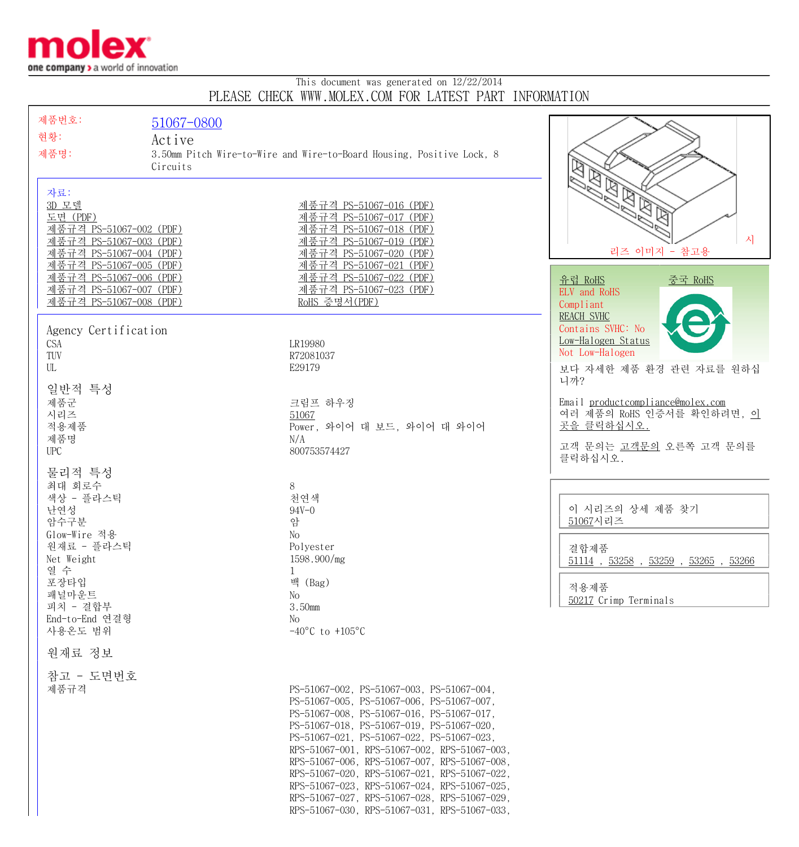

## This document was generated on 12/22/2014 PLEASE CHECK WWW.MOLEX.COM FOR LATEST PART INFORMATION

| 제품번호:<br>51067-0800<br>현황:<br>Active<br>제품명:<br>Circuits<br>자료:<br>3D 모델<br>도면 (PDF)                                                                                                             | 3.50mm Pitch Wire-to-Wire and Wire-to-Board Housing, Positive Lock, 8<br>제품규격 PS-51067-016 (PDF)<br>제품규격 PS-51067-017 (PDF)                                                                                                                                                                                                                                                                                                                                                                                                   | $\mathbb{Z}$                                                                                                      |
|--------------------------------------------------------------------------------------------------------------------------------------------------------------------------------------------------|-------------------------------------------------------------------------------------------------------------------------------------------------------------------------------------------------------------------------------------------------------------------------------------------------------------------------------------------------------------------------------------------------------------------------------------------------------------------------------------------------------------------------------|-------------------------------------------------------------------------------------------------------------------|
| 제품규격 PS-51067-002 (PDF)<br>제품규격 PS-51067-003 (PDF)<br>제품규격 PS-51067-004 (PDF)<br>제품규격 PS-51067-005 (PDF)<br><u>제품규격 PS-51067-006 (PDF)</u><br>제품규격 PS-51067-007 (PDF)<br>제품규격 PS-51067-008 (PDF) | 제품규격 PS-51067-018 (PDF)<br>제품규격 PS-51067-019 (PDF)<br>제품규격 PS-51067-020 (PDF)<br>제품규격 PS-51067-021 (PDF)<br><u>제품규격 PS-51067-022 (PDF)</u><br><u>제품규격 PS-51067-023 (PDF)</u><br>RoHS 증명서(PDF)                                                                                                                                                                                                                                                                                                                                 | 시<br>리즈 이미지 - 참고용<br>유럽 RoHS<br><u>중국 RoHS</u><br>ELV and RoHS<br>Compliant<br><b>REACH SVHC</b>                  |
| Agency Certification<br>CSA<br>TUV<br>UL<br>일반적 특성                                                                                                                                               | LR19980<br>R72081037<br>E29179                                                                                                                                                                                                                                                                                                                                                                                                                                                                                                | Contains SVHC: No<br>Low-Halogen Status<br>Not Low-Halogen<br>보다 자세한 제품 환경 관련 자료를 원하십<br>니까?                      |
| 제품군<br>시리즈<br>적용제품<br>제품명<br><b>UPC</b>                                                                                                                                                          | 크림프 하우징<br>51067<br>Power, 와이어 대 보드, 와이어 대 와이어<br>N/A<br>800753574427                                                                                                                                                                                                                                                                                                                                                                                                                                                         | Email productcompliance@molex.com<br>여러 제품의 RoHS 인증서를 확인하려면, 이<br>곳을 클릭하십시오.<br>고객 문의는 고객문의 오른쪽 고객 문의를<br>클릭하십시오. |
| 물리적 특성<br>최대 회로수<br>색상 - 플라스틱<br>난연성<br>암수구분<br>Glow-Wire 적용<br>원재료 - 플라스틱<br>Net Weight<br>열 수                                                                                                  | 8<br>천연색<br>$94V - 0$<br>암<br>No<br>Polyester<br>1598.900/mg<br>1                                                                                                                                                                                                                                                                                                                                                                                                                                                             | 이 시리즈의 상세 제품 찾기<br>51067시리즈<br>결합제품<br>$51114$ , $53258$ , $53259$ , $53265$ , $53266$                            |
| 포장타입<br>패널마운트<br>피치 - 결합부<br>End-to-End 연결형<br>사용온도 범위                                                                                                                                           | 백 (Bag)<br>No<br>3.50mm<br>No<br>$-40^{\circ}$ C to $+105^{\circ}$ C                                                                                                                                                                                                                                                                                                                                                                                                                                                          | 적용제품<br>50217 Crimp Terminals                                                                                     |
| 원재료 정보<br>참고 - 도면번호<br>제품규격                                                                                                                                                                      | PS-51067-002, PS-51067-003, PS-51067-004,<br>PS-51067-005, PS-51067-006, PS-51067-007,<br>PS-51067-008, PS-51067-016, PS-51067-017,<br>PS-51067-018, PS-51067-019, PS-51067-020,<br>PS-51067-021, PS-51067-022, PS-51067-023,<br>RPS-51067-001, RPS-51067-002, RPS-51067-003,<br>RPS-51067-006, RPS-51067-007, RPS-51067-008,<br>RPS-51067-020, RPS-51067-021, RPS-51067-022,<br>RPS-51067-023, RPS-51067-024, RPS-51067-025,<br>RPS-51067-027, RPS-51067-028, RPS-51067-029,<br>RPS-51067-030, RPS-51067-031, RPS-51067-033, |                                                                                                                   |